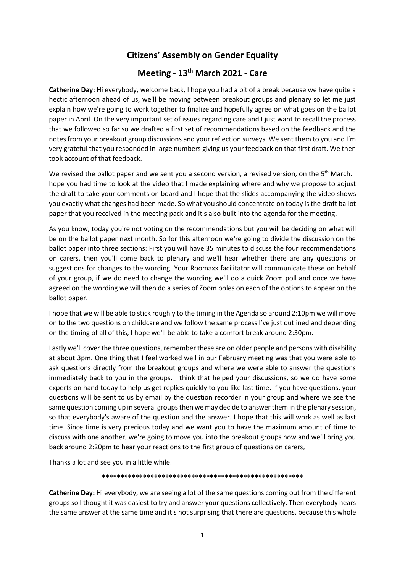## **Citizens' Assembly on Gender Equality**

# **Meeting - 13th March 2021 - Care**

**Catherine Day:** Hi everybody, welcome back, I hope you had a bit of a break because we have quite a hectic afternoon ahead of us, we'll be moving between breakout groups and plenary so let me just explain how we're going to work together to finalize and hopefully agree on what goes on the ballot paper in April. On the very important set of issues regarding care and I just want to recall the process that we followed so far so we drafted a first set of recommendations based on the feedback and the notes from your breakout group discussions and your reflection surveys. We sent them to you and I'm very grateful that you responded in large numbers giving us your feedback on that first draft. We then took account of that feedback.

We revised the ballot paper and we sent you a second version, a revised version, on the 5<sup>th</sup> March. I hope you had time to look at the video that I made explaining where and why we propose to adjust the draft to take your comments on board and I hope that the slides accompanying the video shows you exactly what changes had been made. So what you should concentrate on today is the draft ballot paper that you received in the meeting pack and it's also built into the agenda for the meeting.

As you know, today you're not voting on the recommendations but you will be deciding on what will be on the ballot paper next month. So for this afternoon we're going to divide the discussion on the ballot paper into three sections: First you will have 35 minutes to discuss the four recommendations on carers, then you'll come back to plenary and we'll hear whether there are any questions or suggestions for changes to the wording. Your Roomaxx facilitator will communicate these on behalf of your group, if we do need to change the wording we'll do a quick Zoom poll and once we have agreed on the wording we will then do a series of Zoom poles on each of the options to appear on the ballot paper.

I hope that we will be able to stick roughly to the timing in the Agenda so around 2:10pm we will move on to the two questions on childcare and we follow the same process I've just outlined and depending on the timing of all of this, I hope we'll be able to take a comfort break around 2:30pm.

Lastly we'll cover the three questions, remember these are on older people and persons with disability at about 3pm. One thing that I feel worked well in our February meeting was that you were able to ask questions directly from the breakout groups and where we were able to answer the questions immediately back to you in the groups. I think that helped your discussions, so we do have some experts on hand today to help us get replies quickly to you like last time. If you have questions, your questions will be sent to us by email by the question recorder in your group and where we see the same question coming up in several groups then we may decide to answer them in the plenary session, so that everybody's aware of the question and the answer. I hope that this will work as well as last time. Since time is very precious today and we want you to have the maximum amount of time to discuss with one another, we're going to move you into the breakout groups now and we'll bring you back around 2:20pm to hear your reactions to the first group of questions on carers,

Thanks a lot and see you in a little while.

### **\*\*\*\*\*\*\*\*\*\*\*\*\*\*\*\*\*\*\*\*\*\*\*\*\*\*\*\*\*\*\*\*\*\*\*\*\*\*\*\*\*\*\*\*\*\*\*\*\*\*\*\*\*\***

**Catherine Day:** Hi everybody, we are seeing a lot of the same questions coming out from the different groups so I thought it was easiest to try and answer your questions collectively. Then everybody hears the same answer at the same time and it's not surprising that there are questions, because this whole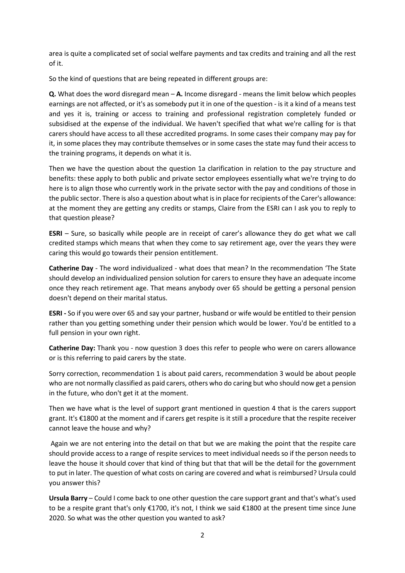area is quite a complicated set of social welfare payments and tax credits and training and all the rest of it.

So the kind of questions that are being repeated in different groups are:

**Q.** What does the word disregard mean – **A.** Income disregard - means the limit below which peoples earnings are not affected, or it's as somebody put it in one of the question - is it a kind of a means test and yes it is, training or access to training and professional registration completely funded or subsidised at the expense of the individual. We haven't specified that what we're calling for is that carers should have access to all these accredited programs. In some cases their company may pay for it, in some places they may contribute themselves or in some cases the state may fund their access to the training programs, it depends on what it is.

Then we have the question about the question 1a clarification in relation to the pay structure and benefits: these apply to both public and private sector employees essentially what we're trying to do here is to align those who currently work in the private sector with the pay and conditions of those in the public sector. There is also a question about what is in place for recipients of the Carer's allowance: at the moment they are getting any credits or stamps, Claire from the ESRI can I ask you to reply to that question please?

**ESRI** – Sure, so basically while people are in receipt of carer's allowance they do get what we call credited stamps which means that when they come to say retirement age, over the years they were caring this would go towards their pension entitlement.

**Catherine Day** - The word individualized - what does that mean? In the recommendation 'The State should develop an individualized pension solution for carers to ensure they have an adequate income once they reach retirement age. That means anybody over 65 should be getting a personal pension doesn't depend on their marital status.

**ESRI -** So if you were over 65 and say your partner, husband or wife would be entitled to their pension rather than you getting something under their pension which would be lower. You'd be entitled to a full pension in your own right.

**Catherine Day:** Thank you - now question 3 does this refer to people who were on carers allowance or is this referring to paid carers by the state.

Sorry correction, recommendation 1 is about paid carers, recommendation 3 would be about people who are not normally classified as paid carers, others who do caring but who should now get a pension in the future, who don't get it at the moment.

Then we have what is the level of support grant mentioned in question 4 that is the carers support grant. It's €1800 at the moment and if carers get respite is it still a procedure that the respite receiver cannot leave the house and why?

Again we are not entering into the detail on that but we are making the point that the respite care should provide access to a range of respite services to meet individual needs so if the person needs to leave the house it should cover that kind of thing but that that will be the detail for the government to put in later. The question of what costs on caring are covered and what is reimbursed? Ursula could you answer this?

**Ursula Barry** – Could I come back to one other question the care support grant and that's what's used to be a respite grant that's only €1700, it's not, I think we said €1800 at the present time since June 2020. So what was the other question you wanted to ask?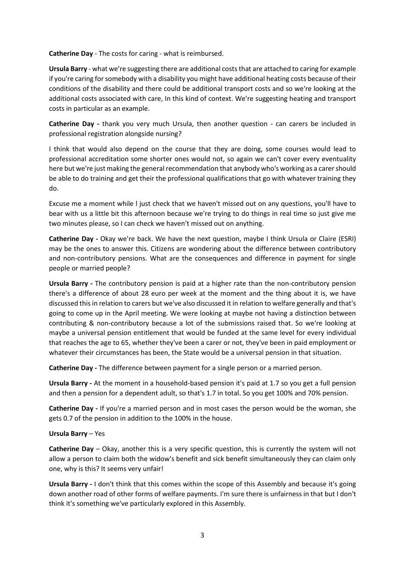**Catherine Day** - The costs for caring - what is reimbursed.

**Ursula Barry** - what we're suggesting there are additional costs that are attached to caring for example if you're caring for somebody with a disability you might have additional heating costs because of their conditions of the disability and there could be additional transport costs and so we're looking at the additional costs associated with care, In this kind of context. We're suggesting heating and transport costs in particular as an example.

**Catherine Day -** thank you very much Ursula, then another question - can carers be included in professional registration alongside nursing?

I think that would also depend on the course that they are doing, some courses would lead to professional accreditation some shorter ones would not, so again we can't cover every eventuality here but we're just making the general recommendation that anybody who's working as a carer should be able to do training and get their the professional qualifications that go with whatever training they do.

Excuse me a moment while l just check that we haven't missed out on any questions, you'll have to bear with us a little bit this afternoon because we're trying to do things in real time so just give me two minutes please, so I can check we haven't missed out on anything.

**Catherine Day -** Okay we're back. We have the next question, maybe I think Ursula or Claire (ESRI) may be the ones to answer this. Citizens are wondering about the difference between contributory and non-contributory pensions. What are the consequences and difference in payment for single people or married people?

**Ursula Barry -** The contributory pension is paid at a higher rate than the non-contributory pension there's a difference of about 28 euro per week at the moment and the thing about it is, we have discussed this in relation to carers but we've also discussed it in relation to welfare generally and that's going to come up in the April meeting. We were looking at maybe not having a distinction between contributing & non-contributory because a lot of the submissions raised that. So we're looking at maybe a universal pension entitlement that would be funded at the same level for every individual that reaches the age to 65, whether they've been a carer or not, they've been in paid employment or whatever their circumstances has been, the State would be a universal pension in that situation.

**Catherine Day -** The difference between payment for a single person or a married person.

**Ursula Barry -** At the moment in a household-based pension it's paid at 1.7 so you get a full pension and then a pension for a dependent adult, so that's 1.7 in total. So you get 100% and 70% pension.

**Catherine Day -** If you're a married person and in most cases the person would be the woman, she gets 0.7 of the pension in addition to the 100% in the house.

### **Ursula Barry** – Yes

**Catherine Day** – Okay, another this is a very specific question, this is currently the system will not allow a person to claim both the widow's benefit and sick benefit simultaneously they can claim only one, why is this? It seems very unfair!

**Ursula Barry -** I don't think that this comes within the scope of this Assembly and because it's going down another road of other forms of welfare payments. I'm sure there is unfairness in that but I don't think it's something we've particularly explored in this Assembly.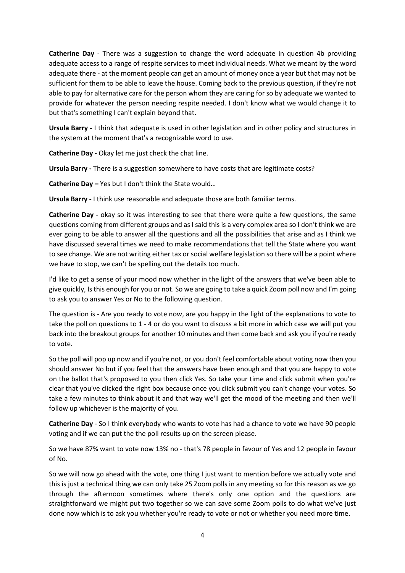**Catherine Day** - There was a suggestion to change the word adequate in question 4b providing adequate access to a range of respite services to meet individual needs. What we meant by the word adequate there - at the moment people can get an amount of money once a year but that may not be sufficient for them to be able to leave the house. Coming back to the previous question, if they're not able to pay for alternative care for the person whom they are caring for so by adequate we wanted to provide for whatever the person needing respite needed. I don't know what we would change it to but that's something I can't explain beyond that.

**Ursula Barry -** I think that adequate is used in other legislation and in other policy and structures in the system at the moment that's a recognizable word to use.

**Catherine Day -** Okay let me just check the chat line.

**Ursula Barry -** There is a suggestion somewhere to have costs that are legitimate costs?

**Catherine Day –** Yes but I don't think the State would…

**Ursula Barry -** I think use reasonable and adequate those are both familiar terms.

**Catherine Day -** okay so it was interesting to see that there were quite a few questions, the same questions coming from different groups and as I said this is a very complex area so I don't think we are ever going to be able to answer all the questions and all the possibilities that arise and as I think we have discussed several times we need to make recommendations that tell the State where you want to see change. We are not writing either tax or social welfare legislation so there will be a point where we have to stop, we can't be spelling out the details too much.

I'd like to get a sense of your mood now whether in the light of the answers that we've been able to give quickly, Is this enough for you or not. So we are going to take a quick Zoom poll now and I'm going to ask you to answer Yes or No to the following question.

The question is - Are you ready to vote now, are you happy in the light of the explanations to vote to take the poll on questions to 1 - 4 or do you want to discuss a bit more in which case we will put you back into the breakout groups for another 10 minutes and then come back and ask you if you're ready to vote.

So the poll will pop up now and if you're not, or you don't feel comfortable about voting now then you should answer No but if you feel that the answers have been enough and that you are happy to vote on the ballot that's proposed to you then click Yes. So take your time and click submit when you're clear that you've clicked the right box because once you click submit you can't change your votes. So take a few minutes to think about it and that way we'll get the mood of the meeting and then we'll follow up whichever is the majority of you.

**Catherine Day** - So I think everybody who wants to vote has had a chance to vote we have 90 people voting and if we can put the the poll results up on the screen please.

So we have 87% want to vote now 13% no - that's 78 people in favour of Yes and 12 people in favour of No.

So we will now go ahead with the vote, one thing I just want to mention before we actually vote and this is just a technical thing we can only take 25 Zoom polls in any meeting so for this reason as we go through the afternoon sometimes where there's only one option and the questions are straightforward we might put two together so we can save some Zoom polls to do what we've just done now which is to ask you whether you're ready to vote or not or whether you need more time.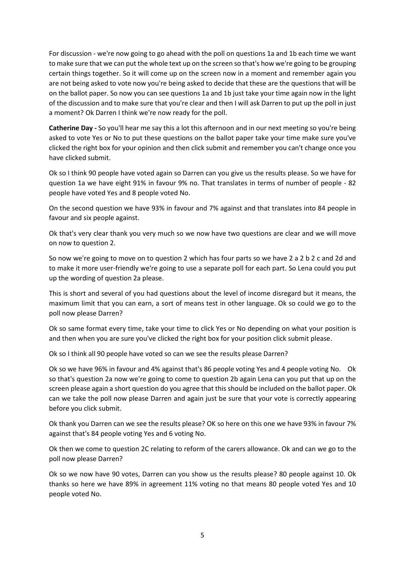For discussion - we're now going to go ahead with the poll on questions 1a and 1b each time we want to make sure that we can put the whole text up on the screen so that's how we're going to be grouping certain things together. So it will come up on the screen now in a moment and remember again you are not being asked to vote now you're being asked to decide that these are the questions that will be on the ballot paper. So now you can see questions 1a and 1b just take your time again now in the light of the discussion and to make sure that you're clear and then I will ask Darren to put up the poll in just a moment? Ok Darren I think we're now ready for the poll.

**Catherine Day -** So you'll hear me say this a lot this afternoon and in our next meeting so you're being asked to vote Yes or No to put these questions on the ballot paper take your time make sure you've clicked the right box for your opinion and then click submit and remember you can't change once you have clicked submit.

Ok so I think 90 people have voted again so Darren can you give us the results please. So we have for question 1a we have eight 91% in favour 9% no. That translates in terms of number of people - 82 people have voted Yes and 8 people voted No.

On the second question we have 93% in favour and 7% against and that translates into 84 people in favour and six people against.

Ok that's very clear thank you very much so we now have two questions are clear and we will move on now to question 2.

So now we're going to move on to question 2 which has four parts so we have 2 a 2 b 2 c and 2d and to make it more user-friendly we're going to use a separate poll for each part. So Lena could you put up the wording of question 2a please.

This is short and several of you had questions about the level of income disregard but it means, the maximum limit that you can earn, a sort of means test in other language. Ok so could we go to the poll now please Darren?

Ok so same format every time, take your time to click Yes or No depending on what your position is and then when you are sure you've clicked the right box for your position click submit please.

Ok so I think all 90 people have voted so can we see the results please Darren?

Ok so we have 96% in favour and 4% against that's 86 people voting Yes and 4 people voting No. Ok so that's question 2a now we're going to come to question 2b again Lena can you put that up on the screen please again a short question do you agree that this should be included on the ballot paper. Ok can we take the poll now please Darren and again just be sure that your vote is correctly appearing before you click submit.

Ok thank you Darren can we see the results please? OK so here on this one we have 93% in favour 7% against that's 84 people voting Yes and 6 voting No.

Ok then we come to question 2C relating to reform of the carers allowance. Ok and can we go to the poll now please Darren?

Ok so we now have 90 votes, Darren can you show us the results please? 80 people against 10. Ok thanks so here we have 89% in agreement 11% voting no that means 80 people voted Yes and 10 people voted No.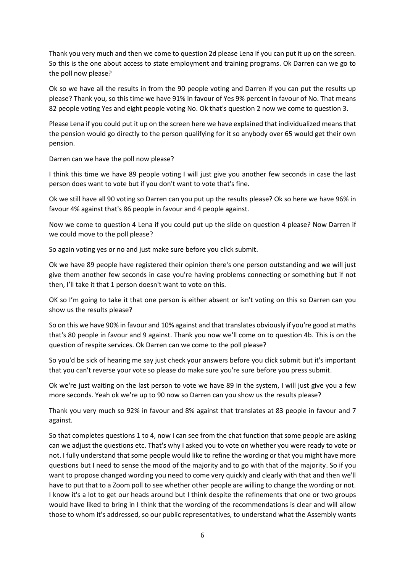Thank you very much and then we come to question 2d please Lena if you can put it up on the screen. So this is the one about access to state employment and training programs. Ok Darren can we go to the poll now please?

Ok so we have all the results in from the 90 people voting and Darren if you can put the results up please? Thank you, so this time we have 91% in favour of Yes 9% percent in favour of No. That means 82 people voting Yes and eight people voting No. Ok that's question 2 now we come to question 3.

Please Lena if you could put it up on the screen here we have explained that individualized means that the pension would go directly to the person qualifying for it so anybody over 65 would get their own pension.

Darren can we have the poll now please?

I think this time we have 89 people voting I will just give you another few seconds in case the last person does want to vote but if you don't want to vote that's fine.

Ok we still have all 90 voting so Darren can you put up the results please? Ok so here we have 96% in favour 4% against that's 86 people in favour and 4 people against.

Now we come to question 4 Lena if you could put up the slide on question 4 please? Now Darren if we could move to the poll please?

So again voting yes or no and just make sure before you click submit.

Ok we have 89 people have registered their opinion there's one person outstanding and we will just give them another few seconds in case you're having problems connecting or something but if not then, I'll take it that 1 person doesn't want to vote on this.

OK so I'm going to take it that one person is either absent or isn't voting on this so Darren can you show us the results please?

So on this we have 90% in favour and 10% against and that translates obviously if you're good at maths that's 80 people in favour and 9 against. Thank you now we'll come on to question 4b. This is on the question of respite services. Ok Darren can we come to the poll please?

So you'd be sick of hearing me say just check your answers before you click submit but it's important that you can't reverse your vote so please do make sure you're sure before you press submit.

Ok we're just waiting on the last person to vote we have 89 in the system, I will just give you a few more seconds. Yeah ok we're up to 90 now so Darren can you show us the results please?

Thank you very much so 92% in favour and 8% against that translates at 83 people in favour and 7 against.

So that completes questions 1 to 4, now I can see from the chat function that some people are asking can we adjust the questions etc. That's why I asked you to vote on whether you were ready to vote or not. I fully understand that some people would like to refine the wording or that you might have more questions but I need to sense the mood of the majority and to go with that of the majority. So if you want to propose changed wording you need to come very quickly and clearly with that and then we'll have to put that to a Zoom poll to see whether other people are willing to change the wording or not. I know it's a lot to get our heads around but I think despite the refinements that one or two groups would have liked to bring in I think that the wording of the recommendations is clear and will allow those to whom it's addressed, so our public representatives, to understand what the Assembly wants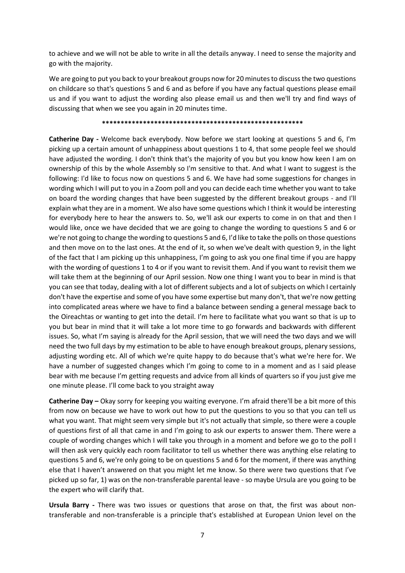to achieve and we will not be able to write in all the details anyway. I need to sense the majority and go with the majority.

We are going to put you back to your breakout groups now for 20 minutes to discuss the two questions on childcare so that's questions 5 and 6 and as before if you have any factual questions please email us and if you want to adjust the wording also please email us and then we'll try and find ways of discussing that when we see you again in 20 minutes time.

#### **\*\*\*\*\*\*\*\*\*\*\*\*\*\*\*\*\*\*\*\*\*\*\*\*\*\*\*\*\*\*\*\*\*\*\*\*\*\*\*\*\*\*\*\*\*\*\*\*\*\*\*\*\*\***

**Catherine Day -** Welcome back everybody. Now before we start looking at questions 5 and 6, I'm picking up a certain amount of unhappiness about questions 1 to 4, that some people feel we should have adjusted the wording. I don't think that's the majority of you but you know how keen I am on ownership of this by the whole Assembly so I'm sensitive to that. And what I want to suggest is the following: I'd like to focus now on questions 5 and 6. We have had some suggestions for changes in wording which I will put to you in a Zoom poll and you can decide each time whether you want to take on board the wording changes that have been suggested by the different breakout groups - and I'll explain what they are in a moment. We also have some questions which I think it would be interesting for everybody here to hear the answers to. So, we'll ask our experts to come in on that and then I would like, once we have decided that we are going to change the wording to questions 5 and 6 or we're not going to change the wording to questions 5 and 6, I'd like to take the polls on those questions and then move on to the last ones. At the end of it, so when we've dealt with question 9, in the light of the fact that I am picking up this unhappiness, I'm going to ask you one final time if you are happy with the wording of questions 1 to 4 or if you want to revisit them. And if you want to revisit them we will take them at the beginning of our April session. Now one thing I want you to bear in mind is that you can see that today, dealing with a lot of different subjects and a lot of subjects on which I certainly don't have the expertise and some of you have some expertise but many don't, that we're now getting into complicated areas where we have to find a balance between sending a general message back to the Oireachtas or wanting to get into the detail. I'm here to facilitate what you want so that is up to you but bear in mind that it will take a lot more time to go forwards and backwards with different issues. So, what I'm saying is already for the April session, that we will need the two days and we will need the two full days by my estimation to be able to have enough breakout groups, plenary sessions, adjusting wording etc. All of which we're quite happy to do because that's what we're here for. We have a number of suggested changes which I'm going to come to in a moment and as I said please bear with me because I'm getting requests and advice from all kinds of quarters so if you just give me one minute please. I'll come back to you straight away

**Catherine Day –** Okay sorry for keeping you waiting everyone. I'm afraid there'll be a bit more of this from now on because we have to work out how to put the questions to you so that you can tell us what you want. That might seem very simple but it's not actually that simple, so there were a couple of questions first of all that came in and I'm going to ask our experts to answer them. There were a couple of wording changes which I will take you through in a moment and before we go to the poll I will then ask very quickly each room facilitator to tell us whether there was anything else relating to questions 5 and 6, we're only going to be on questions 5 and 6 for the moment, if there was anything else that I haven't answered on that you might let me know. So there were two questions that I've picked up so far, 1) was on the non-transferable parental leave - so maybe Ursula are you going to be the expert who will clarify that.

**Ursula Barry -** There was two issues or questions that arose on that, the first was about nontransferable and non-transferable is a principle that's established at European Union level on the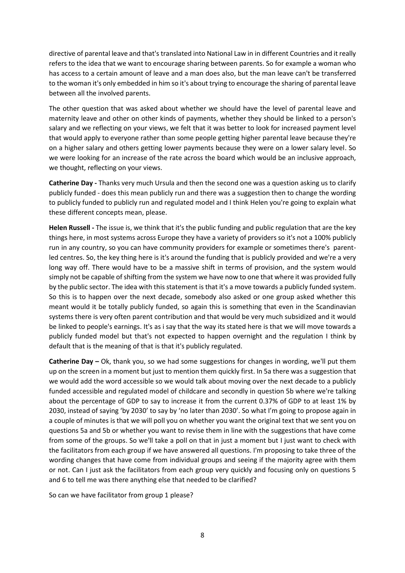directive of parental leave and that's translated into National Law in in different Countries and it really refers to the idea that we want to encourage sharing between parents. So for example a woman who has access to a certain amount of leave and a man does also, but the man leave can't be transferred to the woman it's only embedded in him so it's about trying to encourage the sharing of parental leave between all the involved parents.

The other question that was asked about whether we should have the level of parental leave and maternity leave and other on other kinds of payments, whether they should be linked to a person's salary and we reflecting on your views, we felt that it was better to look for increased payment level that would apply to everyone rather than some people getting higher parental leave because they're on a higher salary and others getting lower payments because they were on a lower salary level. So we were looking for an increase of the rate across the board which would be an inclusive approach, we thought, reflecting on your views.

**Catherine Day -** Thanks very much Ursula and then the second one was a question asking us to clarify publicly funded - does this mean publicly run and there was a suggestion then to change the wording to publicly funded to publicly run and regulated model and I think Helen you're going to explain what these different concepts mean, please.

**Helen Russell -** The issue is, we think that it's the public funding and public regulation that are the key things here, in most systems across Europe they have a variety of providers so it's not a 100% publicly run in any country, so you can have community providers for example or sometimes there's parentled centres. So, the key thing here is it's around the funding that is publicly provided and we're a very long way off. There would have to be a massive shift in terms of provision, and the system would simply not be capable of shifting from the system we have now to one that where it was provided fully by the public sector. The idea with this statement is that it's a move towards a publicly funded system. So this is to happen over the next decade, somebody also asked or one group asked whether this meant would it be totally publicly funded, so again this is something that even in the Scandinavian systems there is very often parent contribution and that would be very much subsidized and it would be linked to people's earnings. It's as i say that the way its stated here is that we will move towards a publicly funded model but that's not expected to happen overnight and the regulation I think by default that is the meaning of that is that it's publicly regulated.

**Catherine Day –** Ok, thank you, so we had some suggestions for changes in wording, we'll put them up on the screen in a moment but just to mention them quickly first. In 5a there was a suggestion that we would add the word accessible so we would talk about moving over the next decade to a publicly funded accessible and regulated model of childcare and secondly in question 5b where we're talking about the percentage of GDP to say to increase it from the current 0.37% of GDP to at least 1% by 2030, instead of saying 'by 2030' to say by 'no later than 2030'. So what I'm going to propose again in a couple of minutes is that we will poll you on whether you want the original text that we sent you on questions 5a and 5b or whether you want to revise them in line with the suggestions that have come from some of the groups. So we'll take a poll on that in just a moment but I just want to check with the facilitators from each group if we have answered all questions. I'm proposing to take three of the wording changes that have come from individual groups and seeing if the majority agree with them or not. Can I just ask the facilitators from each group very quickly and focusing only on questions 5 and 6 to tell me was there anything else that needed to be clarified?

So can we have facilitator from group 1 please?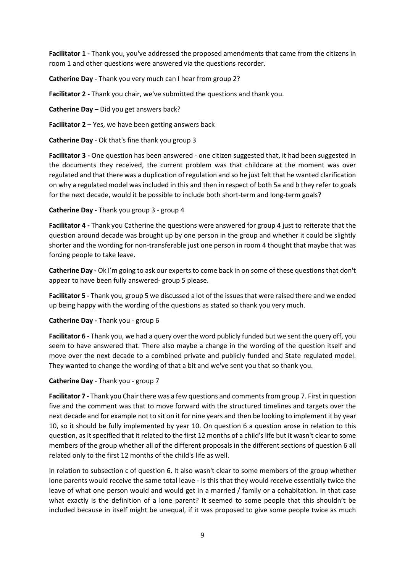**Facilitator 1 -** Thank you, you've addressed the proposed amendments that came from the citizens in room 1 and other questions were answered via the questions recorder.

**Catherine Day -** Thank you very much can I hear from group 2?

**Facilitator 2 -** Thank you chair, we've submitted the questions and thank you.

**Catherine Day –** Did you get answers back?

**Facilitator 2 –** Yes, we have been getting answers back

**Catherine Day** - Ok that's fine thank you group 3

**Facilitator 3 -** One question has been answered - one citizen suggested that, it had been suggested in the documents they received, the current problem was that childcare at the moment was over regulated and that there was a duplication of regulation and so he just felt that he wanted clarification on why a regulated model was included in this and then in respect of both 5a and b they refer to goals for the next decade, would it be possible to include both short-term and long-term goals?

**Catherine Day -** Thank you group 3 - group 4

**Facilitator 4 -** Thank you Catherine the questions were answered for group 4 just to reiterate that the question around decade was brought up by one person in the group and whether it could be slightly shorter and the wording for non-transferable just one person in room 4 thought that maybe that was forcing people to take leave.

**Catherine Day -** Ok I'm going to ask our experts to come back in on some of these questions that don't appear to have been fully answered- group 5 please.

**Facilitator 5 -** Thank you, group 5 we discussed a lot of the issues that were raised there and we ended up being happy with the wording of the questions as stated so thank you very much.

**Catherine Day -** Thank you - group 6

**Facilitator 6 -** Thank you, we had a query over the word publicly funded but we sent the query off, you seem to have answered that. There also maybe a change in the wording of the question itself and move over the next decade to a combined private and publicly funded and State regulated model. They wanted to change the wording of that a bit and we've sent you that so thank you.

**Catherine Day** - Thank you - group 7

**Facilitator 7 -** Thank you Chair there was a few questions and comments from group 7. First in question five and the comment was that to move forward with the structured timelines and targets over the next decade and for example not to sit on it for nine years and then be looking to implement it by year 10, so it should be fully implemented by year 10. On question 6 a question arose in relation to this question, as it specified that it related to the first 12 months of a child's life but it wasn't clear to some members of the group whether all of the different proposals in the different sections of question 6 all related only to the first 12 months of the child's life as well.

In relation to subsection c of question 6. It also wasn't clear to some members of the group whether lone parents would receive the same total leave - is this that they would receive essentially twice the leave of what one person would and would get in a married / family or a cohabitation. In that case what exactly is the definition of a lone parent? It seemed to some people that this shouldn't be included because in itself might be unequal, if it was proposed to give some people twice as much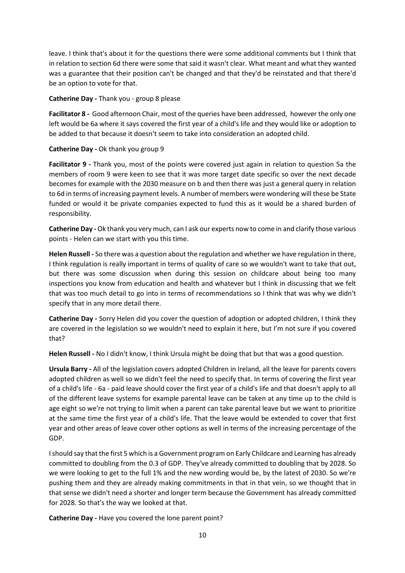leave. I think that's about it for the questions there were some additional comments but I think that in relation to section 6d there were some that said it wasn't clear. What meant and what they wanted was a guarantee that their position can't be changed and that they'd be reinstated and that there'd be an option to vote for that.

**Catherine Day -** Thank you - group 8 please

**Facilitator 8 -** Good afternoon Chair, most of the queries have been addressed, however the only one left would be 6a where it says covered the first year of a child's life and they would like or adoption to be added to that because it doesn't seem to take into consideration an adopted child.

### **Catherine Day -** Ok thank you group 9

**Facilitator 9 -** Thank you, most of the points were covered just again in relation to question 5a the members of room 9 were keen to see that it was more target date specific so over the next decade becomes for example with the 2030 measure on b and then there was just a general query in relation to 6d in terms of increasing payment levels. A number of members were wondering will these be State funded or would it be private companies expected to fund this as it would be a shared burden of responsibility.

**Catherine Day -** Ok thank you very much, can I ask our experts now to come in and clarify those various points - Helen can we start with you this time.

**Helen Russell -** So there was a question about the regulation and whether we have regulation in there, I think regulation is really important in terms of quality of care so we wouldn't want to take that out, but there was some discussion when during this session on childcare about being too many inspections you know from education and health and whatever but I think in discussing that we felt that was too much detail to go into in terms of recommendations so I think that was why we didn't specify that in any more detail there.

**Catherine Day -** Sorry Helen did you cover the question of adoption or adopted children, I think they are covered in the legislation so we wouldn't need to explain it here, but I'm not sure if you covered that?

**Helen Russell -** No I didn't know, I think Ursula might be doing that but that was a good question.

**Ursula Barry -** All of the legislation covers adopted Children in Ireland, all the leave for parents covers adopted children as well so we didn't feel the need to specify that. In terms of covering the first year of a child's life - 6a - paid leave should cover the first year of a child's life and that doesn't apply to all of the different leave systems for example parental leave can be taken at any time up to the child is age eight so we're not trying to limit when a parent can take parental leave but we want to prioritize at the same time the first year of a child's life. That the leave would be extended to cover that first year and other areas of leave cover other options as well in terms of the increasing percentage of the GDP.

Ishould say that the first 5 which is a Government program on Early Childcare and Learning has already committed to doubling from the 0.3 of GDP. They've already committed to doubling that by 2028. So we were looking to get to the full 1% and the new wording would be, by the latest of 2030. So we're pushing them and they are already making commitments in that in that vein, so we thought that in that sense we didn't need a shorter and longer term because the Government has already committed for 2028. So that's the way we looked at that.

**Catherine Day -** Have you covered the lone parent point?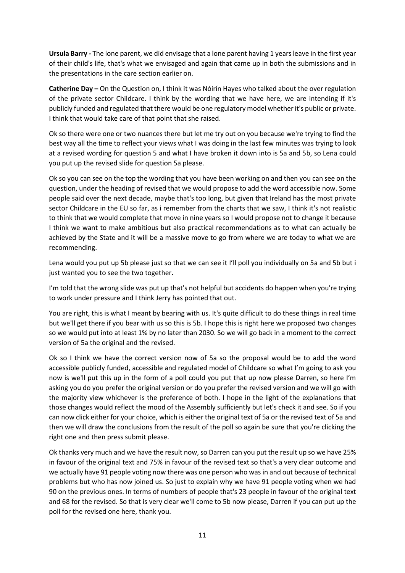**Ursula Barry -** The lone parent, we did envisage that a lone parent having 1 years leave in the first year of their child's life, that's what we envisaged and again that came up in both the submissions and in the presentations in the care section earlier on.

**Catherine Day –** On the Question on, I think it was Nóirín Hayes who talked about the over regulation of the private sector Childcare. I think by the wording that we have here, we are intending if it's publicly funded and regulated that there would be one regulatory model whether it's public or private. I think that would take care of that point that she raised.

Ok so there were one or two nuances there but let me try out on you because we're trying to find the best way all the time to reflect your views what I was doing in the last few minutes was trying to look at a revised wording for question 5 and what I have broken it down into is 5a and 5b, so Lena could you put up the revised slide for question 5a please.

Ok so you can see on the top the wording that you have been working on and then you can see on the question, under the heading of revised that we would propose to add the word accessible now. Some people said over the next decade, maybe that's too long, but given that Ireland has the most private sector Childcare in the EU so far, as i remember from the charts that we saw, I think it's not realistic to think that we would complete that move in nine years so I would propose not to change it because I think we want to make ambitious but also practical recommendations as to what can actually be achieved by the State and it will be a massive move to go from where we are today to what we are recommending.

Lena would you put up 5b please just so that we can see it I'll poll you individually on 5a and 5b but i just wanted you to see the two together.

I'm told that the wrong slide was put up that's not helpful but accidents do happen when you're trying to work under pressure and I think Jerry has pointed that out.

You are right, this is what I meant by bearing with us. It's quite difficult to do these things in real time but we'll get there if you bear with us so this is 5b. I hope this is right here we proposed two changes so we would put into at least 1% by no later than 2030. So we will go back in a moment to the correct version of 5a the original and the revised.

Ok so I think we have the correct version now of 5a so the proposal would be to add the word accessible publicly funded, accessible and regulated model of Childcare so what I'm going to ask you now is we'll put this up in the form of a poll could you put that up now please Darren, so here I'm asking you do you prefer the original version or do you prefer the revised version and we will go with the majority view whichever is the preference of both. I hope in the light of the explanations that those changes would reflect the mood of the Assembly sufficiently but let's check it and see. So if you can now click either for your choice, which is either the original text of 5a or the revised text of 5a and then we will draw the conclusions from the result of the poll so again be sure that you're clicking the right one and then press submit please.

Ok thanks very much and we have the result now, so Darren can you put the result up so we have 25% in favour of the original text and 75% in favour of the revised text so that's a very clear outcome and we actually have 91 people voting now there was one person who was in and out because of technical problems but who has now joined us. So just to explain why we have 91 people voting when we had 90 on the previous ones. In terms of numbers of people that's 23 people in favour of the original text and 68 for the revised. So that is very clear we'll come to 5b now please, Darren if you can put up the poll for the revised one here, thank you.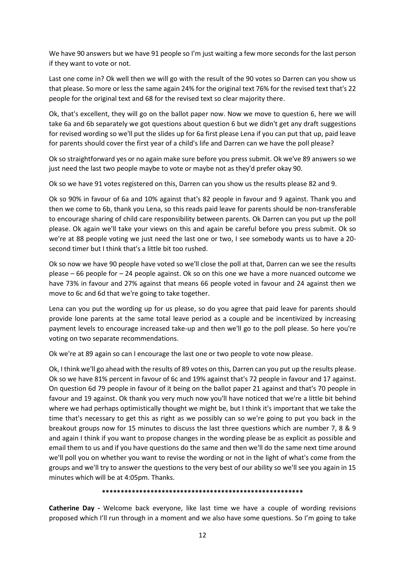We have 90 answers but we have 91 people so I'm just waiting a few more seconds for the last person if they want to vote or not.

Last one come in? Ok well then we will go with the result of the 90 votes so Darren can you show us that please. So more or less the same again 24% for the original text 76% for the revised text that's 22 people for the original text and 68 for the revised text so clear majority there.

Ok, that's excellent, they will go on the ballot paper now. Now we move to question 6, here we will take 6a and 6b separately we got questions about question 6 but we didn't get any draft suggestions for revised wording so we'll put the slides up for 6a first please Lena if you can put that up, paid leave for parents should cover the first year of a child's life and Darren can we have the poll please?

Ok so straightforward yes or no again make sure before you press submit. Ok we've 89 answers so we just need the last two people maybe to vote or maybe not as they'd prefer okay 90.

Ok so we have 91 votes registered on this, Darren can you show us the results please 82 and 9.

Ok so 90% in favour of 6a and 10% against that's 82 people in favour and 9 against. Thank you and then we come to 6b, thank you Lena, so this reads paid leave for parents should be non-transferable to encourage sharing of child care responsibility between parents. Ok Darren can you put up the poll please. Ok again we'll take your views on this and again be careful before you press submit. Ok so we're at 88 people voting we just need the last one or two, I see somebody wants us to have a 20 second timer but I think that's a little bit too rushed.

Ok so now we have 90 people have voted so we'll close the poll at that, Darren can we see the results please – 66 people for – 24 people against. Ok so on this one we have a more nuanced outcome we have 73% in favour and 27% against that means 66 people voted in favour and 24 against then we move to 6c and 6d that we're going to take together.

Lena can you put the wording up for us please, so do you agree that paid leave for parents should provide lone parents at the same total leave period as a couple and be incentivized by increasing payment levels to encourage increased take-up and then we'll go to the poll please. So here you're voting on two separate recommendations.

Ok we're at 89 again so can I encourage the last one or two people to vote now please.

Ok, I think we'll go ahead with the results of 89 votes on this, Darren can you put up the results please. Ok so we have 81% percent in favour of 6c and 19% against that's 72 people in favour and 17 against. On question 6d 79 people in favour of it being on the ballot paper 21 against and that's 70 people in favour and 19 against. Ok thank you very much now you'll have noticed that we're a little bit behind where we had perhaps optimistically thought we might be, but I think it's important that we take the time that's necessary to get this as right as we possibly can so we're going to put you back in the breakout groups now for 15 minutes to discuss the last three questions which are number 7, 8 & 9 and again I think if you want to propose changes in the wording please be as explicit as possible and email them to us and if you have questions do the same and then we'll do the same next time around we'll poll you on whether you want to revise the wording or not in the light of what's come from the groups and we'll try to answer the questions to the very best of our ability so we'll see you again in 15 minutes which will be at 4:05pm. Thanks.

**\*\*\*\*\*\*\*\*\*\*\*\*\*\*\*\*\*\*\*\*\*\*\*\*\*\*\*\*\*\*\*\*\*\*\*\*\*\*\*\*\*\*\*\*\*\*\*\*\*\*\*\*\*\***

**Catherine Day -** Welcome back everyone, like last time we have a couple of wording revisions proposed which I'll run through in a moment and we also have some questions. So I'm going to take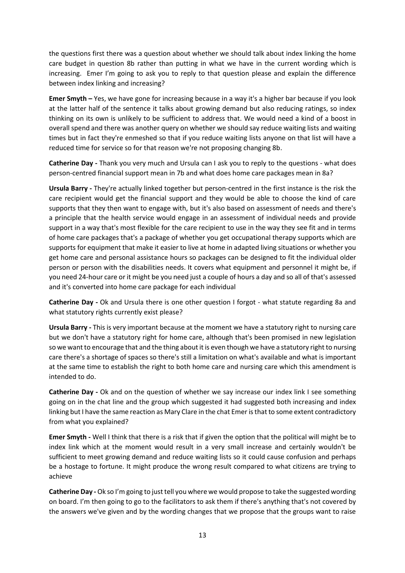the questions first there was a question about whether we should talk about index linking the home care budget in question 8b rather than putting in what we have in the current wording which is increasing. Emer I'm going to ask you to reply to that question please and explain the difference between index linking and increasing?

**Emer Smyth –** Yes, we have gone for increasing because in a way it's a higher bar because if you look at the latter half of the sentence it talks about growing demand but also reducing ratings, so index thinking on its own is unlikely to be sufficient to address that. We would need a kind of a boost in overall spend and there was another query on whether we should say reduce waiting lists and waiting times but in fact they're enmeshed so that if you reduce waiting lists anyone on that list will have a reduced time for service so for that reason we're not proposing changing 8b.

**Catherine Day -** Thank you very much and Ursula can I ask you to reply to the questions - what does person-centred financial support mean in 7b and what does home care packages mean in 8a?

**Ursula Barry -** They're actually linked together but person-centred in the first instance is the risk the care recipient would get the financial support and they would be able to choose the kind of care supports that they then want to engage with, but it's also based on assessment of needs and there's a principle that the health service would engage in an assessment of individual needs and provide support in a way that's most flexible for the care recipient to use in the way they see fit and in terms of home care packages that's a package of whether you get occupational therapy supports which are supports for equipment that make it easier to live at home in adapted living situations or whether you get home care and personal assistance hours so packages can be designed to fit the individual older person or person with the disabilities needs. It covers what equipment and personnel it might be, if you need 24-hour care or it might be you need just a couple of hours a day and so all of that's assessed and it's converted into home care package for each individual

**Catherine Day -** Ok and Ursula there is one other question I forgot - what statute regarding 8a and what statutory rights currently exist please?

**Ursula Barry -** This is very important because at the moment we have a statutory right to nursing care but we don't have a statutory right for home care, although that's been promised in new legislation so we want to encourage that and the thing about it is even though we have a statutory right to nursing care there's a shortage of spaces so there's still a limitation on what's available and what is important at the same time to establish the right to both home care and nursing care which this amendment is intended to do.

**Catherine Day -** Ok and on the question of whether we say increase our index link I see something going on in the chat line and the group which suggested it had suggested both increasing and index linking but I have the same reaction as Mary Clare in the chat Emer is that to some extent contradictory from what you explained?

**Emer Smyth -** Well I think that there is a risk that if given the option that the political will might be to index link which at the moment would result in a very small increase and certainly wouldn't be sufficient to meet growing demand and reduce waiting lists so it could cause confusion and perhaps be a hostage to fortune. It might produce the wrong result compared to what citizens are trying to achieve

**Catherine Day -** Ok so I'm going to just tell you where we would propose to take the suggested wording on board. I'm then going to go to the facilitators to ask them if there's anything that's not covered by the answers we've given and by the wording changes that we propose that the groups want to raise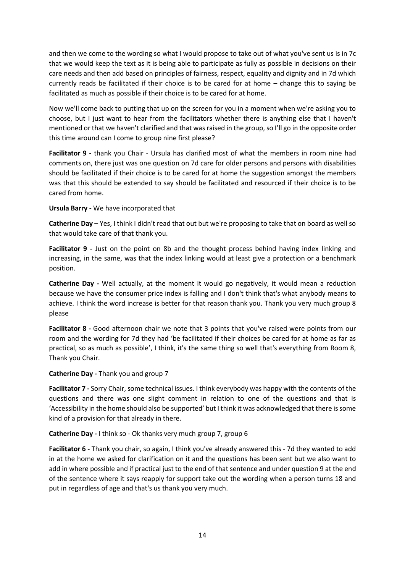and then we come to the wording so what I would propose to take out of what you've sent us is in 7c that we would keep the text as it is being able to participate as fully as possible in decisions on their care needs and then add based on principles of fairness, respect, equality and dignity and in 7d which currently reads be facilitated if their choice is to be cared for at home – change this to saying be facilitated as much as possible if their choice is to be cared for at home.

Now we'll come back to putting that up on the screen for you in a moment when we're asking you to choose, but I just want to hear from the facilitators whether there is anything else that I haven't mentioned or that we haven't clarified and that was raised in the group, so I'll go in the opposite order this time around can I come to group nine first please?

**Facilitator 9 -** thank you Chair - Ursula has clarified most of what the members in room nine had comments on, there just was one question on 7d care for older persons and persons with disabilities should be facilitated if their choice is to be cared for at home the suggestion amongst the members was that this should be extended to say should be facilitated and resourced if their choice is to be cared from home.

**Ursula Barry -** We have incorporated that

**Catherine Day –** Yes, I think I didn't read that out but we're proposing to take that on board as well so that would take care of that thank you.

**Facilitator 9 -** Just on the point on 8b and the thought process behind having index linking and increasing, in the same, was that the index linking would at least give a protection or a benchmark position.

**Catherine Day -** Well actually, at the moment it would go negatively, it would mean a reduction because we have the consumer price index is falling and I don't think that's what anybody means to achieve. I think the word increase is better for that reason thank you. Thank you very much group 8 please

**Facilitator 8 -** Good afternoon chair we note that 3 points that you've raised were points from our room and the wording for 7d they had 'be facilitated if their choices be cared for at home as far as practical, so as much as possible', I think, it's the same thing so well that's everything from Room 8, Thank you Chair.

**Catherine Day -** Thank you and group 7

**Facilitator 7 -** Sorry Chair, some technical issues. I think everybody was happy with the contents of the questions and there was one slight comment in relation to one of the questions and that is 'Accessibility in the home should also be supported' but I think it was acknowledged that there is some kind of a provision for that already in there.

**Catherine Day -** I think so - Ok thanks very much group 7, group 6

**Facilitator 6 -** Thank you chair, so again, I think you've already answered this - 7d they wanted to add in at the home we asked for clarification on it and the questions has been sent but we also want to add in where possible and if practical just to the end of that sentence and under question 9 at the end of the sentence where it says reapply for support take out the wording when a person turns 18 and put in regardless of age and that's us thank you very much.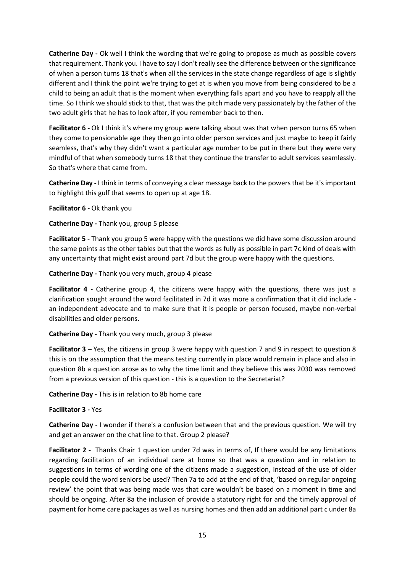**Catherine Day -** Ok well I think the wording that we're going to propose as much as possible covers that requirement. Thank you. I have to say I don't really see the difference between or the significance of when a person turns 18 that's when all the services in the state change regardless of age is slightly different and I think the point we're trying to get at is when you move from being considered to be a child to being an adult that is the moment when everything falls apart and you have to reapply all the time. So I think we should stick to that, that was the pitch made very passionately by the father of the two adult girls that he has to look after, if you remember back to then.

**Facilitator 6 -** Ok I think it's where my group were talking about was that when person turns 65 when they come to pensionable age they then go into older person services and just maybe to keep it fairly seamless, that's why they didn't want a particular age number to be put in there but they were very mindful of that when somebody turns 18 that they continue the transfer to adult services seamlessly. So that's where that came from.

**Catherine Day -** I think in terms of conveying a clear message back to the powers that be it's important to highlight this gulf that seems to open up at age 18.

**Facilitator 6 -** Ok thank you

**Catherine Day -** Thank you, group 5 please

**Facilitator 5 -** Thank you group 5 were happy with the questions we did have some discussion around the same points as the other tables but that the words as fully as possible in part 7c kind of deals with any uncertainty that might exist around part 7d but the group were happy with the questions.

**Catherine Day -** Thank you very much, group 4 please

**Facilitator 4 -** Catherine group 4, the citizens were happy with the questions, there was just a clarification sought around the word facilitated in 7d it was more a confirmation that it did include an independent advocate and to make sure that it is people or person focused, maybe non-verbal disabilities and older persons.

### **Catherine Day -** Thank you very much, group 3 please

**Facilitator 3 –** Yes, the citizens in group 3 were happy with question 7 and 9 in respect to question 8 this is on the assumption that the means testing currently in place would remain in place and also in question 8b a question arose as to why the time limit and they believe this was 2030 was removed from a previous version of this question - this is a question to the Secretariat?

**Catherine Day -** This is in relation to 8b home care

**Facilitator 3 -** Yes

**Catherine Day -** I wonder if there's a confusion between that and the previous question. We will try and get an answer on the chat line to that. Group 2 please?

**Facilitator 2 -** Thanks Chair 1 question under 7d was in terms of, If there would be any limitations regarding facilitation of an individual care at home so that was a question and in relation to suggestions in terms of wording one of the citizens made a suggestion, instead of the use of older people could the word seniors be used? Then 7a to add at the end of that, 'based on regular ongoing review' the point that was being made was that care wouldn't be based on a moment in time and should be ongoing. After 8a the inclusion of provide a statutory right for and the timely approval of payment for home care packages as well as nursing homes and then add an additional part c under 8a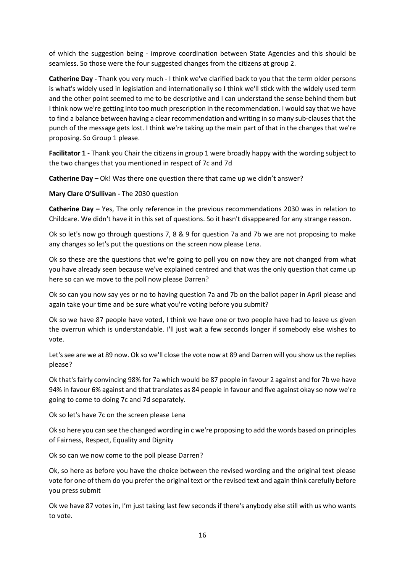of which the suggestion being - improve coordination between State Agencies and this should be seamless. So those were the four suggested changes from the citizens at group 2.

**Catherine Day -** Thank you very much - I think we've clarified back to you that the term older persons is what's widely used in legislation and internationally so I think we'll stick with the widely used term and the other point seemed to me to be descriptive and I can understand the sense behind them but I think now we're getting into too much prescription in the recommendation. I would say that we have to find a balance between having a clear recommendation and writing in so many sub-clauses that the punch of the message gets lost. I think we're taking up the main part of that in the changes that we're proposing. So Group 1 please.

**Facilitator 1 -** Thank you Chair the citizens in group 1 were broadly happy with the wording subject to the two changes that you mentioned in respect of 7c and 7d

**Catherine Day –** Ok! Was there one question there that came up we didn't answer?

**Mary Clare O'Sullivan -** The 2030 question

**Catherine Day –** Yes, The only reference in the previous recommendations 2030 was in relation to Childcare. We didn't have it in this set of questions. So it hasn't disappeared for any strange reason.

Ok so let's now go through questions 7, 8 & 9 for question 7a and 7b we are not proposing to make any changes so let's put the questions on the screen now please Lena.

Ok so these are the questions that we're going to poll you on now they are not changed from what you have already seen because we've explained centred and that was the only question that came up here so can we move to the poll now please Darren?

Ok so can you now say yes or no to having question 7a and 7b on the ballot paper in April please and again take your time and be sure what you're voting before you submit?

Ok so we have 87 people have voted, I think we have one or two people have had to leave us given the overrun which is understandable. I'll just wait a few seconds longer if somebody else wishes to vote.

Let's see are we at 89 now. Ok so we'll close the vote now at 89 and Darren will you show us the replies please?

Ok that's fairly convincing 98% for 7a which would be 87 people in favour 2 against and for 7b we have 94% in favour 6% against and that translates as 84 people in favour and five against okay so now we're going to come to doing 7c and 7d separately.

Ok so let's have 7c on the screen please Lena

Ok so here you can see the changed wording in c we're proposing to add the words based on principles of Fairness, Respect, Equality and Dignity

Ok so can we now come to the poll please Darren?

Ok, so here as before you have the choice between the revised wording and the original text please vote for one of them do you prefer the original text or the revised text and again think carefully before you press submit

Ok we have 87 votes in, I'm just taking last few seconds if there's anybody else still with us who wants to vote.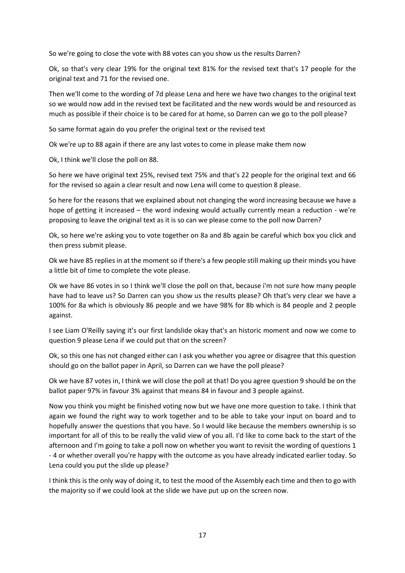So we're going to close the vote with 88 votes can you show us the results Darren?

Ok, so that's very clear 19% for the original text 81% for the revised text that's 17 people for the original text and 71 for the revised one.

Then we'll come to the wording of 7d please Lena and here we have two changes to the original text so we would now add in the revised text be facilitated and the new words would be and resourced as much as possible if their choice is to be cared for at home, so Darren can we go to the poll please?

So same format again do you prefer the original text or the revised text

Ok we're up to 88 again if there are any last votes to come in please make them now

Ok, I think we'll close the poll on 88.

So here we have original text 25%, revised text 75% and that's 22 people for the original text and 66 for the revised so again a clear result and now Lena will come to question 8 please.

So here for the reasons that we explained about not changing the word increasing because we have a hope of getting it increased – the word indexing would actually currently mean a reduction - we're proposing to leave the original text as it is so can we please come to the poll now Darren?

Ok, so here we're asking you to vote together on 8a and 8b again be careful which box you click and then press submit please.

Ok we have 85 replies in at the moment so if there's a few people still making up their minds you have a little bit of time to complete the vote please.

Ok we have 86 votes in so I think we'll close the poll on that, because i'm not sure how many people have had to leave us? So Darren can you show us the results please? Oh that's very clear we have a 100% for 8a which is obviously 86 people and we have 98% for 8b which is 84 people and 2 people against.

I see Liam O'Reilly saying it's our first landslide okay that's an historic moment and now we come to question 9 please Lena if we could put that on the screen?

Ok, so this one has not changed either can I ask you whether you agree or disagree that this question should go on the ballot paper in April, so Darren can we have the poll please?

Ok we have 87 votes in, I think we will close the poll at that! Do you agree question 9 should be on the ballot paper 97% in favour 3% against that means 84 in favour and 3 people against.

Now you think you might be finished voting now but we have one more question to take. I think that again we found the right way to work together and to be able to take your input on board and to hopefully answer the questions that you have. So I would like because the members ownership is so important for all of this to be really the valid view of you all. I'd like to come back to the start of the afternoon and I'm going to take a poll now on whether you want to revisit the wording of questions 1 - 4 or whether overall you're happy with the outcome as you have already indicated earlier today. So Lena could you put the slide up please?

I think this is the only way of doing it, to test the mood of the Assembly each time and then to go with the majority so if we could look at the slide we have put up on the screen now.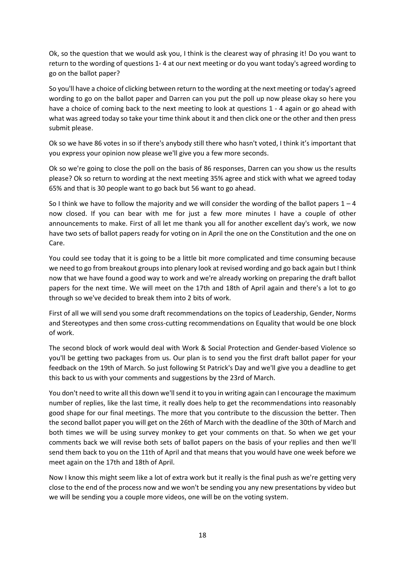Ok, so the question that we would ask you, I think is the clearest way of phrasing it! Do you want to return to the wording of questions 1- 4 at our next meeting or do you want today's agreed wording to go on the ballot paper?

So you'll have a choice of clicking between return to the wording at the next meeting or today's agreed wording to go on the ballot paper and Darren can you put the poll up now please okay so here you have a choice of coming back to the next meeting to look at questions 1 - 4 again or go ahead with what was agreed today so take your time think about it and then click one or the other and then press submit please.

Ok so we have 86 votes in so if there's anybody still there who hasn't voted, I think it's important that you express your opinion now please we'll give you a few more seconds.

Ok so we're going to close the poll on the basis of 86 responses, Darren can you show us the results please? Ok so return to wording at the next meeting 35% agree and stick with what we agreed today 65% and that is 30 people want to go back but 56 want to go ahead.

So I think we have to follow the majority and we will consider the wording of the ballot papers  $1 - 4$ now closed. If you can bear with me for just a few more minutes I have a couple of other announcements to make. First of all let me thank you all for another excellent day's work, we now have two sets of ballot papers ready for voting on in April the one on the Constitution and the one on Care.

You could see today that it is going to be a little bit more complicated and time consuming because we need to go from breakout groups into plenary look at revised wording and go back again but I think now that we have found a good way to work and we're already working on preparing the draft ballot papers for the next time. We will meet on the 17th and 18th of April again and there's a lot to go through so we've decided to break them into 2 bits of work.

First of all we will send you some draft recommendations on the topics of Leadership, Gender, Norms and Stereotypes and then some cross-cutting recommendations on Equality that would be one block of work.

The second block of work would deal with Work & Social Protection and Gender-based Violence so you'll be getting two packages from us. Our plan is to send you the first draft ballot paper for your feedback on the 19th of March. So just following St Patrick's Day and we'll give you a deadline to get this back to us with your comments and suggestions by the 23rd of March.

You don't need to write all this down we'll send it to you in writing again can I encourage the maximum number of replies, like the last time, it really does help to get the recommendations into reasonably good shape for our final meetings. The more that you contribute to the discussion the better. Then the second ballot paper you will get on the 26th of March with the deadline of the 30th of March and both times we will be using survey monkey to get your comments on that. So when we get your comments back we will revise both sets of ballot papers on the basis of your replies and then we'll send them back to you on the 11th of April and that means that you would have one week before we meet again on the 17th and 18th of April.

Now I know this might seem like a lot of extra work but it really is the final push as we're getting very close to the end of the process now and we won't be sending you any new presentations by video but we will be sending you a couple more videos, one will be on the voting system.